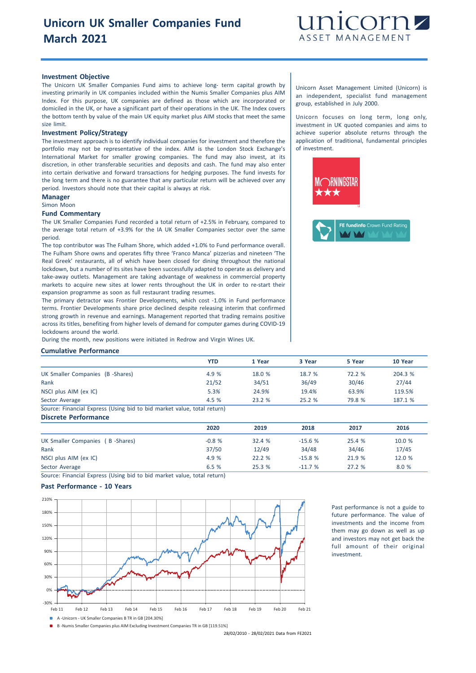

### **Investment Objective**

The Unicorn UK Smaller Companies Fund aims to achieve long- term capital growth by investing primarily in UK companies included within the Numis Smaller Companies plus AIM Index. For this purpose, UK companies are defined as those which are incorporated or domiciled in the UK, or have a significant part of their operations in the UK. The Index covers the bottom tenth by value of the main UK equity market plus AIM stocks that meet the same size limit.

#### **Investment Policy/Strategy**

The investment approach is to identify individual companies for investment and therefore the portfolio may not be representative of the index. AIM is the London Stock Exchange's International Market for smaller growing companies. The fund may also invest, at its discretion, in other transferable securities and deposits and cash. The fund may also enter into certain derivative and forward transactions for hedging purposes. The fund invests for the long term and there is no guarantee that any particular return will be achieved over any period. Investors should note that their capital is always at risk.

#### **Manager**

Simon Moon

#### **Fund Commentary**

The UK Smaller Companies Fund recorded a total return of +2.5% in February, compared to the average total return of +3.9% for the IA UK Smaller Companies sector over the same period.

The top contributor was The Fulham Shore, which added +1.0% to Fund performance overall. The Fulham Shore owns and operates fifty three 'Franco Manca' pizzerias and nineteen 'The Real Greek' restaurants, all of which have been closed for dining throughout the national lockdown, but a number of its sites have been successfully adapted to operate as delivery and take-away outlets. Management are taking advantage of weakness in commercial property markets to acquire new sites at lower rents throughout the UK in order to re-start their expansion programme as soon as full restaurant trading resumes.

The primary detractor was Frontier Developments, which cost -1.0% in Fund performance terms. Frontier Developments share price declined despite releasing interim that confirmed strong growth in revenue and earnings. Management reported that trading remains positive across its titles, benefiting from higher levels of demand for computer games during COVID-19 lockdowns around the world.

During the month, new positions were initiated in Redrow and Virgin Wines UK.

#### **Cumulative Performance**

|                                                                        | YTD   | 1 Year | 3 Year | 5 Year | 10 Year |
|------------------------------------------------------------------------|-------|--------|--------|--------|---------|
| UK Smaller Companies (B -Shares)                                       | 4.9 % | 18.0 % | 18.7 % | 72.2%  | 204.3 % |
| Rank                                                                   | 21/52 | 34/51  | 36/49  | 30/46  | 27/44   |
| NSCI plus AIM (ex IC)                                                  | 5.3%  | 24.9%  | 19.4%  | 63.9%  | 119.5%  |
| Sector Average                                                         | 4.5 % | 23.2%  | 25.2%  | 79.8 % | 187.1 % |
| Course: Einansial Everses (Hsing bid to bid market value total return) |       |        |        |        |         |

ource: Financial Express (Using bid to bid market value, total return) **Discrete Performance**

| <b>PROFILIO LA PROFILIATIVE</b> |         |        |          |        |        |
|---------------------------------|---------|--------|----------|--------|--------|
|                                 | 2020    | 2019   | 2018     | 2017   | 2016   |
| UK Smaller Companies (B-Shares) | $-0.8%$ | 32.4%  | $-15.6%$ | 25.4 % | 10.0 % |
| Rank                            | 37/50   | 12/49  | 34/48    | 34/46  | 17/45  |
| NSCI plus AIM (ex IC)           | 4.9 %   | 22.2 % | $-15.8%$ | 21.9 % | 12.0 % |
| Sector Average                  | 6.5%    | 25.3%  | $-11.7%$ | 27.2%  | 8.0 %  |

Source: Financial Express (Using bid to bid market value, total return)

## **Past Performance - 10 Years**



Past performance is not a guide to future performance. The value of investments and the income from them may go down as well as up and investors may not get back the full amount of their original investment.

B -Numis Smaller Companies plus AIM Excluding Investment Companies TR in GB [119.51%]

28/02/2010 - 28/02/2021 Data from FE2021

Unicorn Asset Management Limited (Unicorn) is an independent, specialist fund management group, established in July 2000.

Unicorn focuses on long term, long only, investment in UK quoted companies and aims to achieve superior absolute returns through the application of traditional, fundamental principles of investment.